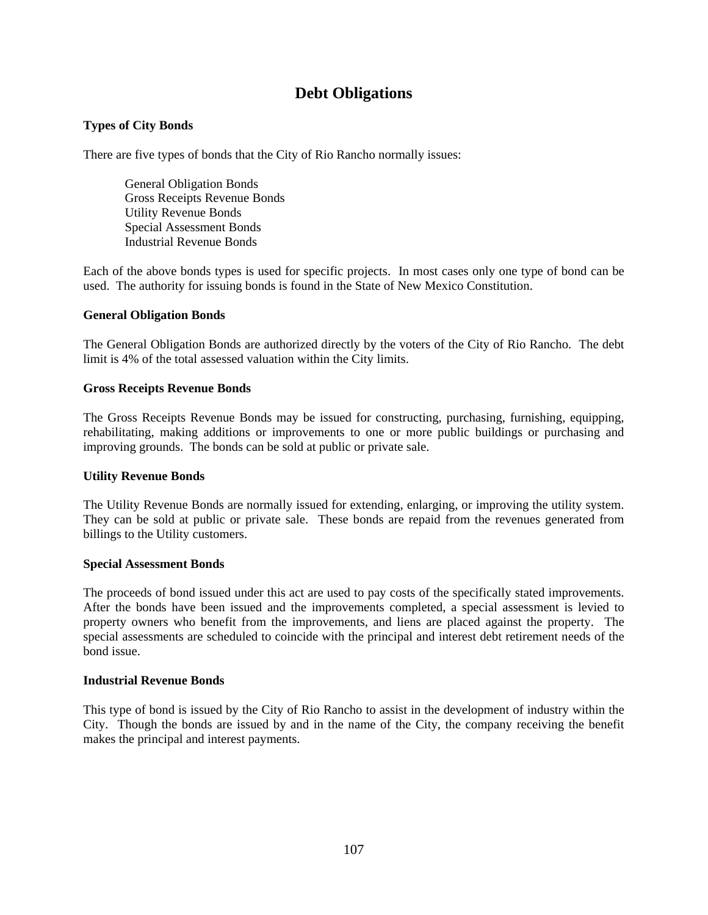# **Debt Obligations**

# **Types of City Bonds**

There are five types of bonds that the City of Rio Rancho normally issues:

General Obligation Bonds Gross Receipts Revenue Bonds Utility Revenue Bonds Special Assessment Bonds Industrial Revenue Bonds

Each of the above bonds types is used for specific projects. In most cases only one type of bond can be used. The authority for issuing bonds is found in the State of New Mexico Constitution.

#### **General Obligation Bonds**

The General Obligation Bonds are authorized directly by the voters of the City of Rio Rancho. The debt limit is 4% of the total assessed valuation within the City limits.

#### **Gross Receipts Revenue Bonds**

The Gross Receipts Revenue Bonds may be issued for constructing, purchasing, furnishing, equipping, rehabilitating, making additions or improvements to one or more public buildings or purchasing and improving grounds. The bonds can be sold at public or private sale.

#### **Utility Revenue Bonds**

The Utility Revenue Bonds are normally issued for extending, enlarging, or improving the utility system. They can be sold at public or private sale. These bonds are repaid from the revenues generated from billings to the Utility customers.

#### **Special Assessment Bonds**

The proceeds of bond issued under this act are used to pay costs of the specifically stated improvements. After the bonds have been issued and the improvements completed, a special assessment is levied to property owners who benefit from the improvements, and liens are placed against the property. The special assessments are scheduled to coincide with the principal and interest debt retirement needs of the bond issue.

#### **Industrial Revenue Bonds**

This type of bond is issued by the City of Rio Rancho to assist in the development of industry within the City. Though the bonds are issued by and in the name of the City, the company receiving the benefit makes the principal and interest payments.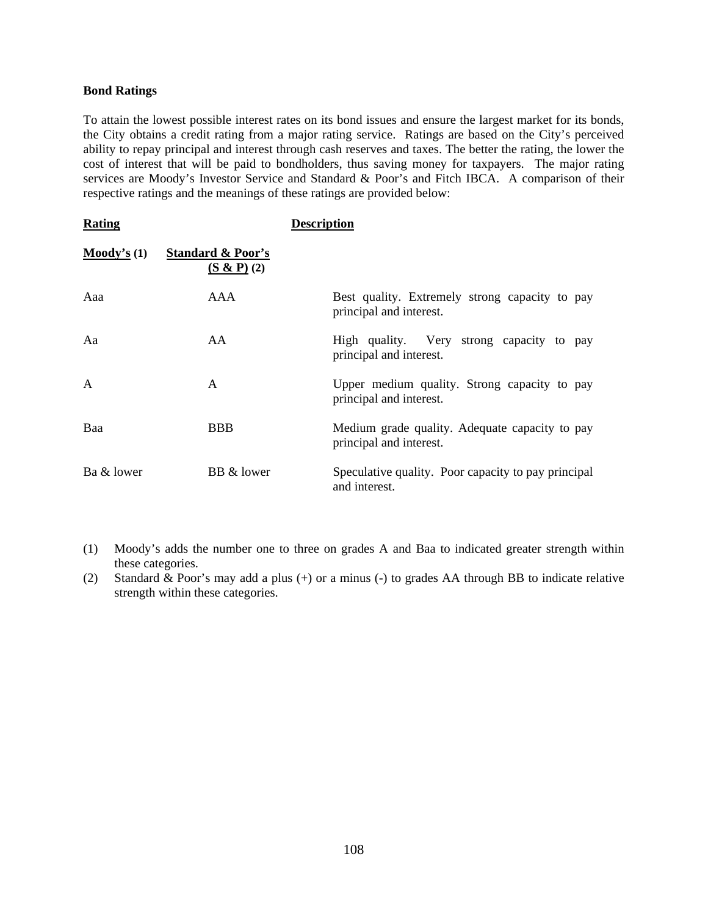#### **Bond Ratings**

To attain the lowest possible interest rates on its bond issues and ensure the largest market for its bonds, the City obtains a credit rating from a major rating service. Ratings are based on the City's perceived ability to repay principal and interest through cash reserves and taxes. The better the rating, the lower the cost of interest that will be paid to bondholders, thus saving money for taxpayers. The major rating services are Moody's Investor Service and Standard & Poor's and Fitch IBCA. A comparison of their respective ratings and the meanings of these ratings are provided below:

| Rating                           |                                            | Description                                                               |
|----------------------------------|--------------------------------------------|---------------------------------------------------------------------------|
| $\mathbf{Mody's}\left( 1\right)$ | <b>Standard &amp; Poor's</b><br>(S & P)(2) |                                                                           |
| Aaa                              | AAA                                        | Best quality. Extremely strong capacity to pay<br>principal and interest. |
| Aa                               | AA                                         | High quality. Very strong capacity to pay<br>principal and interest.      |
| A                                | $\mathsf{A}$                               | Upper medium quality. Strong capacity to pay<br>principal and interest.   |
| Baa                              | <b>BBB</b>                                 | Medium grade quality. Adequate capacity to pay<br>principal and interest. |
| Ba & lower                       | BB & lower                                 | Speculative quality. Poor capacity to pay principal<br>and interest.      |

- (1) Moody's adds the number one to three on grades A and Baa to indicated greater strength within these categories.
- (2) Standard & Poor's may add a plus (+) or a minus (-) to grades AA through BB to indicate relative strength within these categories.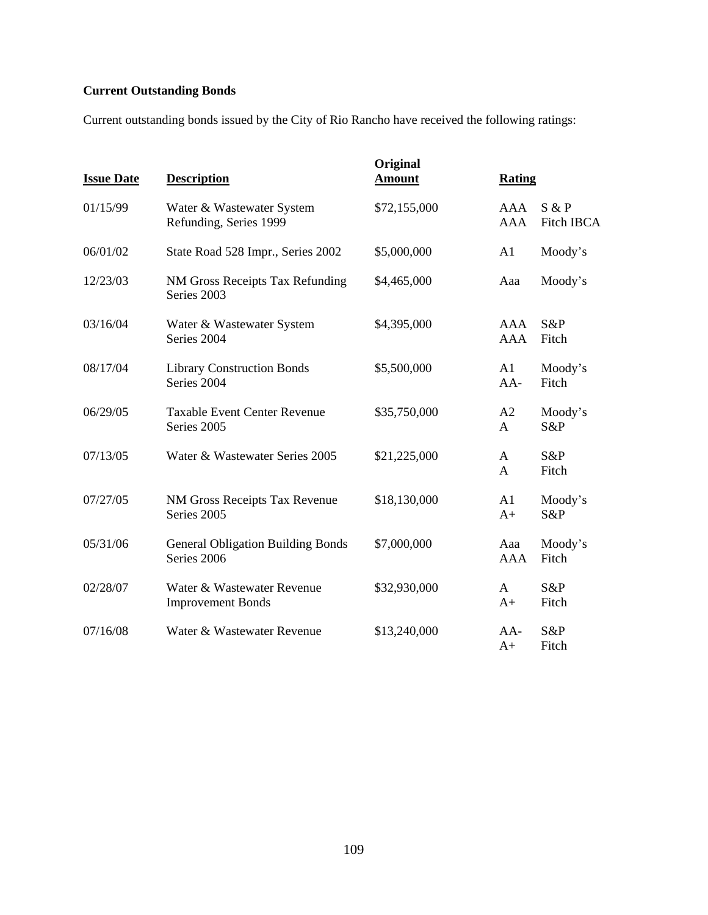# **Current Outstanding Bonds**

Current outstanding bonds issued by the City of Rio Rancho have received the following ratings:

| <b>Issue Date</b> | <b>Description</b>                                      | Original<br><u>Amount</u> | <b>Rating</b>     |                            |
|-------------------|---------------------------------------------------------|---------------------------|-------------------|----------------------------|
| 01/15/99          | Water & Wastewater System<br>Refunding, Series 1999     | \$72,155,000              | AAA<br><b>AAA</b> | S & P<br><b>Fitch IBCA</b> |
| 06/01/02          | State Road 528 Impr., Series 2002                       | \$5,000,000               | A1                | Moody's                    |
| 12/23/03          | NM Gross Receipts Tax Refunding<br>Series 2003          | \$4,465,000               | Aaa               | Moody's                    |
| 03/16/04          | Water & Wastewater System<br>Series 2004                | \$4,395,000               | AAA<br><b>AAA</b> | S&P<br>Fitch               |
| 08/17/04          | <b>Library Construction Bonds</b><br>Series 2004        | \$5,500,000               | A1<br>$AA-$       | Moody's<br>Fitch           |
| 06/29/05          | <b>Taxable Event Center Revenue</b><br>Series 2005      | \$35,750,000              | A2<br>A           | Moody's<br>S&P             |
| 07/13/05          | Water & Wastewater Series 2005                          | \$21,225,000              | A<br>A            | S&P<br>Fitch               |
| 07/27/05          | NM Gross Receipts Tax Revenue<br>Series 2005            | \$18,130,000              | A1<br>$A+$        | Moody's<br>S&P             |
| 05/31/06          | <b>General Obligation Building Bonds</b><br>Series 2006 | \$7,000,000               | Aaa<br><b>AAA</b> | Moody's<br>Fitch           |
| 02/28/07          | Water & Wastewater Revenue<br><b>Improvement Bonds</b>  | \$32,930,000              | A<br>$A+$         | S&P<br>Fitch               |
| 07/16/08          | Water & Wastewater Revenue                              | \$13,240,000              | $AA-$<br>$A+$     | S&P<br>Fitch               |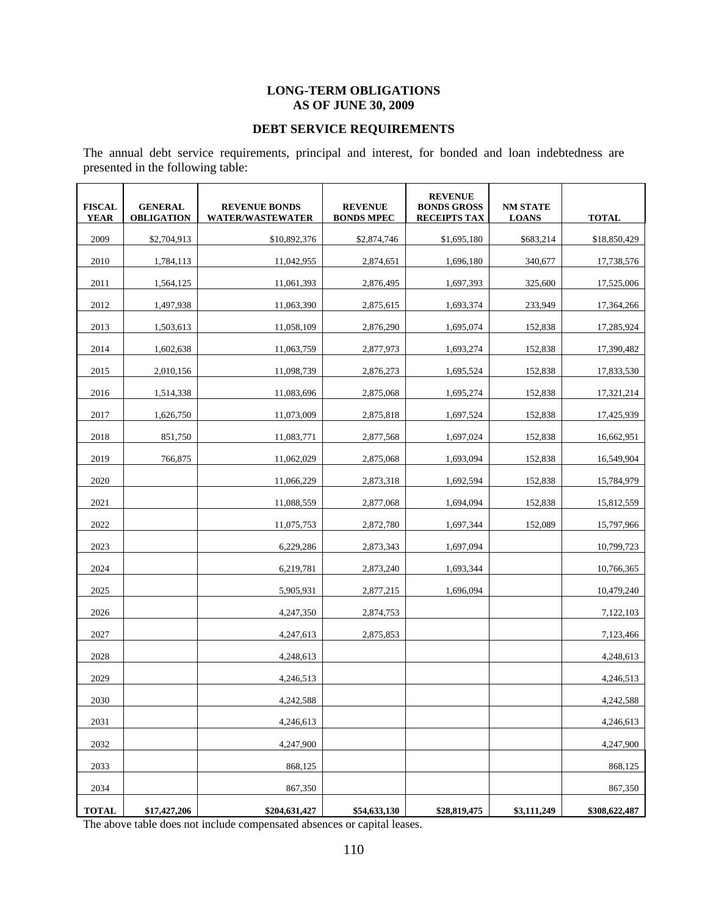### **LONG-TERM OBLIGATIONS AS OF JUNE 30, 2009**

# **DEBT SERVICE REQUIREMENTS**

The annual debt service requirements, principal and interest, for bonded and loan indebtedness are presented in the following table:

| <b>FISCAL</b><br><b>YEAR</b> | <b>GENERAL</b><br><b>OBLIGATION</b> | <b>REVENUE BONDS</b><br><b>WATER/WASTEWATER</b> | <b>REVENUE</b><br><b>BONDS MPEC</b> | <b>REVENUE</b><br><b>BONDS GROSS</b><br><b>RECEIPTS TAX</b> | <b>NM STATE</b><br><b>LOANS</b> | <b>TOTAL</b>  |
|------------------------------|-------------------------------------|-------------------------------------------------|-------------------------------------|-------------------------------------------------------------|---------------------------------|---------------|
| 2009                         | \$2,704,913                         | \$10,892,376                                    | \$2,874,746                         | \$1,695,180                                                 | \$683,214                       | \$18,850,429  |
| 2010                         | 1,784,113                           | 11,042,955                                      | 2,874,651                           | 1,696,180                                                   | 340,677                         | 17,738,576    |
| 2011                         | 1,564,125                           | 11,061,393                                      | 2,876,495                           | 1,697,393                                                   | 325,600                         | 17,525,006    |
| 2012                         | 1,497,938                           | 11,063,390                                      | 2,875,615                           | 1,693,374                                                   | 233,949                         | 17,364,266    |
| 2013                         | 1,503,613                           | 11,058,109                                      | 2,876,290                           | 1,695,074                                                   | 152,838                         | 17,285,924    |
| 2014                         | 1,602,638                           | 11,063,759                                      | 2,877,973                           | 1,693,274                                                   | 152,838                         | 17,390,482    |
| 2015                         | 2,010,156                           | 11,098,739                                      | 2,876,273                           | 1,695,524                                                   | 152,838                         | 17,833,530    |
| 2016                         | 1,514,338                           | 11,083,696                                      | 2,875,068                           | 1,695,274                                                   | 152,838                         | 17,321,214    |
| 2017                         | 1,626,750                           | 11,073,009                                      | 2,875,818                           | 1,697,524                                                   | 152,838                         | 17,425,939    |
| 2018                         | 851,750                             | 11,083,771                                      | 2,877,568                           | 1,697,024                                                   | 152,838                         | 16,662,951    |
| 2019                         | 766,875                             | 11.062.029                                      | 2,875,068                           | 1,693,094                                                   | 152,838                         | 16,549,904    |
| 2020                         |                                     | 11,066,229                                      | 2,873,318                           | 1,692,594                                                   | 152,838                         | 15,784,979    |
| 2021                         |                                     | 11,088,559                                      | 2,877,068                           | 1,694,094                                                   | 152,838                         | 15,812,559    |
| 2022                         |                                     | 11,075,753                                      | 2,872,780                           | 1,697,344                                                   | 152,089                         | 15,797,966    |
| 2023                         |                                     | 6,229,286                                       | 2,873,343                           | 1,697,094                                                   |                                 | 10,799,723    |
| 2024                         |                                     | 6,219,781                                       | 2,873,240                           | 1,693,344                                                   |                                 | 10,766,365    |
| 2025                         |                                     | 5,905,931                                       | 2,877,215                           | 1,696,094                                                   |                                 | 10,479,240    |
| 2026                         |                                     | 4,247,350                                       | 2,874,753                           |                                                             |                                 | 7,122,103     |
| 2027                         |                                     | 4,247,613                                       | 2,875,853                           |                                                             |                                 | 7,123,466     |
| 2028                         |                                     | 4,248,613                                       |                                     |                                                             |                                 | 4,248,613     |
| 2029                         |                                     | 4,246,513                                       |                                     |                                                             |                                 | 4,246,513     |
| 2030                         |                                     | 4.242.588                                       |                                     |                                                             |                                 | 4.242.588     |
| 2031                         |                                     | 4,246,613                                       |                                     |                                                             |                                 | 4,246,613     |
| 2032                         |                                     | 4,247,900                                       |                                     |                                                             |                                 | 4,247,900     |
| 2033                         |                                     | 868,125                                         |                                     |                                                             |                                 | 868,125       |
| 2034                         |                                     | 867,350                                         |                                     |                                                             |                                 | 867,350       |
| <b>TOTAL</b>                 | \$17,427,206                        | \$204,631,427                                   | \$54,633,130                        | \$28,819,475                                                | \$3,111,249                     | \$308,622,487 |

The above table does not include compensated absences or capital leases.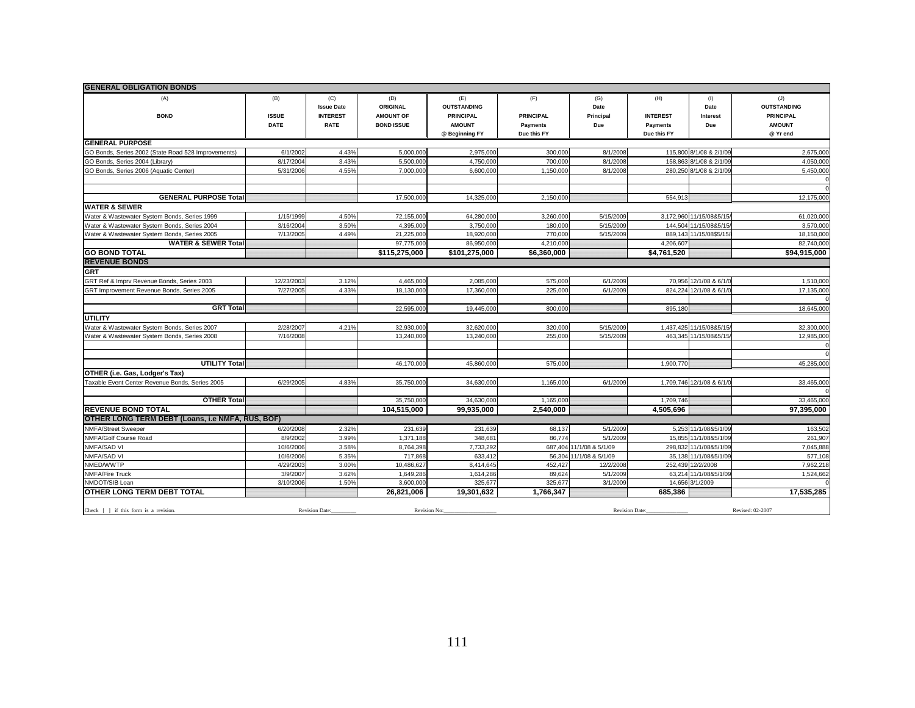| <b>GENERAL OBLIGATION BONDS</b>                                                              |                     |                                             |                                     |                                               |                         |                          |                        |                           |                                               |
|----------------------------------------------------------------------------------------------|---------------------|---------------------------------------------|-------------------------------------|-----------------------------------------------|-------------------------|--------------------------|------------------------|---------------------------|-----------------------------------------------|
| (A)<br><b>BOND</b>                                                                           | (B)<br><b>ISSUE</b> | (C)<br><b>Issue Date</b><br><b>INTEREST</b> | (D)<br>ORIGINAL<br><b>AMOUNT OF</b> | (E)<br><b>OUTSTANDING</b><br><b>PRINCIPAL</b> | (F)<br><b>PRINCIPAL</b> | (G)<br>Date<br>Principal | (H)<br><b>INTEREST</b> | (1)<br>Date<br>Interest   | (J)<br><b>OUTSTANDING</b><br><b>PRINCIPAL</b> |
|                                                                                              | <b>DATE</b>         | <b>RATE</b>                                 | <b>BOND ISSUE</b>                   | <b>AMOUNT</b>                                 | <b>Payments</b>         | Due                      | Payments               | Due                       | <b>AMOUNT</b>                                 |
|                                                                                              |                     |                                             |                                     | @ Beginning FY                                | Due this FY             |                          | Due this FY            |                           | @ Yr end                                      |
| <b>GENERAL PURPOSE</b>                                                                       |                     |                                             |                                     |                                               |                         |                          |                        |                           |                                               |
| GO Bonds, Series 2002 (State Road 528 Improvements)                                          | 6/1/2002            | 4.43%                                       | 5,000,000                           | 2,975,000                                     | 300,000                 | 8/1/2008                 |                        | 115,800 8/1/08 & 2/1/09   | 2,675,000                                     |
| GO Bonds, Series 2004 (Library)                                                              | 8/17/2004           | 3.43%                                       | 5.500.000                           | 4,750,000                                     | 700,00                  | 8/1/2008                 | 158.863                | 8/1/08 & 2/1/09           | 4,050,000                                     |
| GO Bonds, Series 2006 (Aquatic Center)                                                       | 5/31/2006           | 4.55%                                       | 7,000,000                           | 6,600,000                                     | 1,150,00                | 8/1/2008                 |                        | 280,250 8/1/08 & 2/1/09   | 5,450,000                                     |
|                                                                                              |                     |                                             |                                     |                                               |                         |                          |                        |                           |                                               |
|                                                                                              |                     |                                             |                                     |                                               |                         |                          |                        |                           |                                               |
| <b>GENERAL PURPOSE Total</b>                                                                 |                     |                                             | 17,500,000                          | 14,325,000                                    | 2,150,000               |                          | 554.913                |                           | 12,175,000                                    |
| <b>WATER &amp; SEWER</b>                                                                     | 1/15/1999           | 4.50%                                       |                                     |                                               |                         |                          |                        | 3,172,960 11/15/08&5/15   |                                               |
| Water & Wastewater System Bonds, Series 1999<br>Water & Wastewater System Bonds, Series 2004 | 3/16/2004           | 3.50%                                       | 72,155,000<br>4,395,000             | 64,280,000<br>3,750,000                       | 3,260,000<br>180,000    | 5/15/2009<br>5/15/2009   |                        | 144,504 11/15/08&5/15     | 61,020,000<br>3,570,000                       |
| Water & Wastewater System Bonds, Series 2005                                                 | 7/13/2005           | 4.49%                                       | 21,225,000                          | 18,920,000                                    | 770,000                 | 5/15/2009                |                        | 889,143 11/15/08\$5/15    | 18,150,000                                    |
| <b>WATER &amp; SEWER Total</b>                                                               |                     |                                             | 97,775,000                          | 86,950,000                                    | 4,210,000               |                          | 4,206,607              |                           | 82,740,000                                    |
| <b>GO BOND TOTAL</b>                                                                         |                     |                                             | \$115,275,000                       | \$101,275,000                                 | \$6,360,000             |                          | \$4,761,520            |                           | \$94,915,000                                  |
| <b>REVENUE BONDS</b>                                                                         |                     |                                             |                                     |                                               |                         |                          |                        |                           |                                               |
| <b>GRT</b>                                                                                   |                     |                                             |                                     |                                               |                         |                          |                        |                           |                                               |
| GRT Ref & Impry Revenue Bonds, Series 2003                                                   | 12/23/2003          | 3.12%                                       | 4.465.000                           | 2,085,000                                     | 575,000                 | 6/1/2009                 |                        | 70,956 12/1/08 & 6/1/0    | 1.510.000                                     |
| GRT Improvement Revenue Bonds, Series 2005                                                   | 7/27/2005           | 4.33%                                       | 18,130,000                          | 17,360,000                                    | 225,000                 | 6/1/2009                 | 824.224                | 12/1/08 & 6/1/0           | 17,135,000                                    |
|                                                                                              |                     |                                             |                                     |                                               |                         |                          |                        |                           |                                               |
| <b>GRT Total</b>                                                                             |                     |                                             | 22,595,000                          | 19,445,000                                    | 800,000                 |                          | 895,180                |                           | 18,645,000                                    |
| <b>UTILITY</b>                                                                               |                     |                                             |                                     |                                               |                         |                          |                        |                           |                                               |
| Water & Wastewater System Bonds, Series 2007                                                 | 2/28/2007           | 4.21%                                       | 32,930,000                          | 32,620,000                                    | 320,000                 | 5/15/2009                |                        | 1,437,425 11/15/08&5/15   | 32,300,000                                    |
| Water & Wastewater System Bonds, Series 2008                                                 | 7/16/2008           |                                             | 13,240,000                          | 13,240,000                                    | 255,000                 | 5/15/2009                |                        | 463,345 11/15/08&5/15     | 12,985,000                                    |
|                                                                                              |                     |                                             |                                     |                                               |                         |                          |                        |                           | $\mathbf 0$                                   |
|                                                                                              |                     |                                             |                                     |                                               |                         |                          |                        |                           | $\Omega$                                      |
| <b>UTILITY Total</b>                                                                         |                     |                                             | 46.170.000                          | 45.860.000                                    | 575,000                 |                          | 1.900.770              |                           | 45.285.000                                    |
| OTHER (i.e. Gas, Lodger's Tax)                                                               |                     |                                             |                                     |                                               |                         |                          |                        |                           |                                               |
| Taxable Event Center Revenue Bonds, Series 2005                                              | 6/29/2005           | 4.83%                                       | 35.750.000                          | 34.630.000                                    | 1.165.000               | 6/1/2009                 |                        | 1,709,746 12/1/08 & 6/1/0 | 33,465,000                                    |
| <b>OTHER Total</b>                                                                           |                     |                                             | 35,750,000                          | 34,630,000                                    | 1,165,000               |                          | 1,709,746              |                           | 33,465,000                                    |
| <b>REVENUE BOND TOTAL</b>                                                                    |                     |                                             | 104,515,000                         | 99,935,000                                    | 2,540,000               |                          | 4,505,696              |                           | 97,395,000                                    |
| OTHER LONG TERM DEBT (Loans, i.e NMFA, RUS, BOF)                                             |                     |                                             |                                     |                                               |                         |                          |                        |                           |                                               |
| NMFA/Street Sweeper                                                                          | 6/20/2008           | 2.32%                                       | 231,639                             | 231,639                                       | 68,137                  | 5/1/2009                 |                        | 5,253 11/1/08&5/1/09      | 163,502                                       |
| NMFA/Golf Course Road                                                                        | 8/9/2002            | 3.99%                                       | 1,371,188                           | 348,681                                       | 86,774                  | 5/1/2009                 | 15,855                 | 11/1/08&5/1/09            | 261,907                                       |
| NMFA/SAD VI                                                                                  | 10/6/2006           | 3.58%                                       | 8,764,398                           | 7,733,292                                     |                         | 687,404 11/1/08 & 5/1/09 | 298,832                | 11/1/08&5/1/09            | 7,045,888                                     |
| NMFA/SAD VI                                                                                  | 10/6/2006           | 5.35%                                       | 717,868                             | 633,412                                       |                         | 56,304 11/1/08 & 5/1/09  |                        | 35,138 11/1/08&5/1/09     | 577,108                                       |
| NMED/WWTP                                                                                    | 4/29/2003           | 3.00%                                       | 10,486,627                          | 8,414,645                                     | 452,427                 | 12/2/2008                |                        | 252,439 12/2/2008         | 7,962,218                                     |
| NMFA/Fire Truck                                                                              | 3/9/2007            | 3.62%                                       | 1,649,286                           | 1,614,286                                     | 89,624                  | 5/1/2009                 |                        | 63,214 11/1/08&5/1/09     | 1,524,662                                     |
| NMDOT/SIB Loan                                                                               | 3/10/2006           | 1.50%                                       | 3,600,000                           | 325,677                                       | 325,677                 | 3/1/2009                 |                        | 14,656 3/1/2009           |                                               |
| OTHER LONG TERM DEBT TOTAL                                                                   |                     |                                             | 26,821,006                          | 19,301,632                                    | 1,766,347               |                          | 685.386                |                           | 17.535.285                                    |
| Check $\lceil \cdot \rceil$ if this form is a revision                                       |                     | <b>Revision Date:</b>                       | Revision No:                        |                                               |                         | <b>Revision Date:</b>    |                        |                           | Revised: 02-2007                              |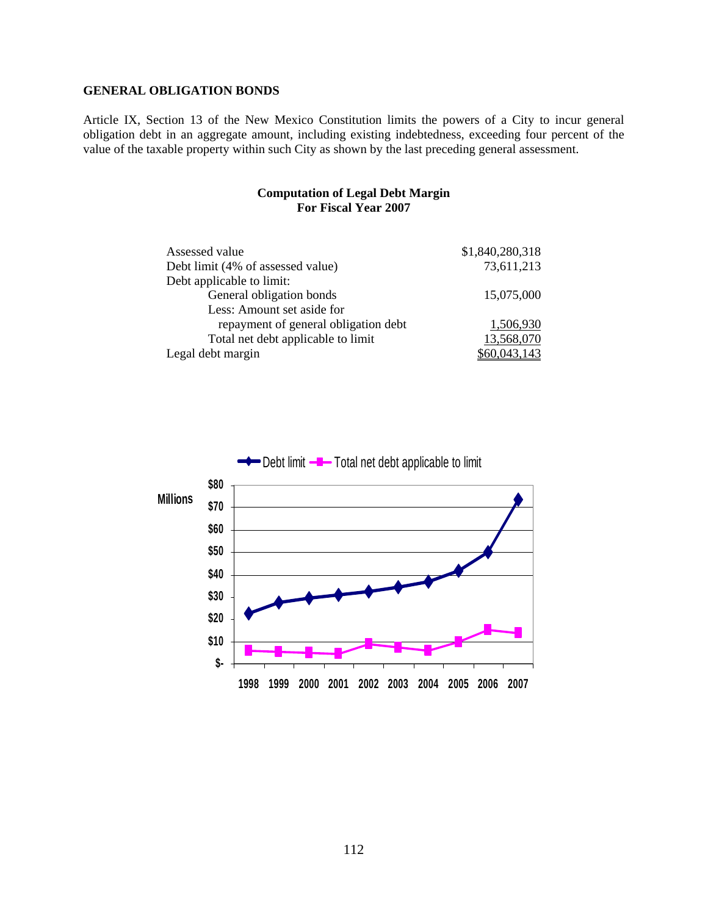#### **GENERAL OBLIGATION BONDS**

Article IX, Section 13 of the New Mexico Constitution limits the powers of a City to incur general obligation debt in an aggregate amount, including existing indebtedness, exceeding four percent of the value of the taxable property within such City as shown by the last preceding general assessment.

#### **Computation of Legal Debt Margin For Fiscal Year 2007**

| Assessed value                       | \$1,840,280,318 |
|--------------------------------------|-----------------|
| Debt limit (4% of assessed value)    | 73,611,213      |
| Debt applicable to limit:            |                 |
| General obligation bonds             | 15,075,000      |
| Less: Amount set aside for           |                 |
| repayment of general obligation debt | 1,506,930       |
| Total net debt applicable to limit   | 13,568,070      |
| Legal debt margin                    | \$60,043,143    |

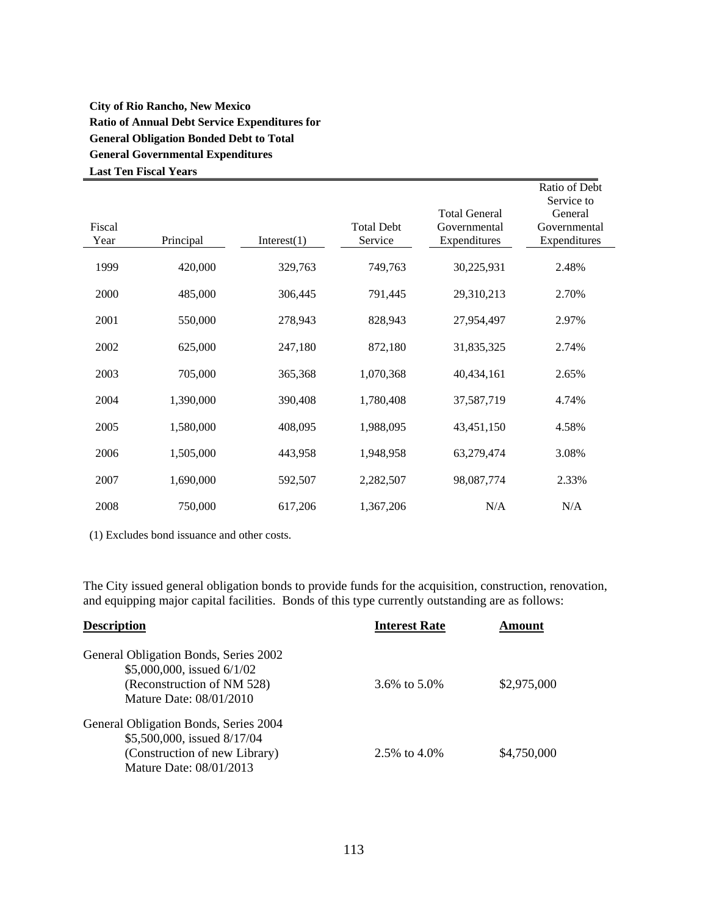# **City of Rio Rancho, New Mexico Ratio of Annual Debt Service Expenditures for General Obligation Bonded Debt to Total General Governmental Expenditures Last Ten Fiscal Years**

|        |           |             |                   |                      | Ratio of Debt<br>Service to |
|--------|-----------|-------------|-------------------|----------------------|-----------------------------|
|        |           |             |                   | <b>Total General</b> | General                     |
| Fiscal |           |             | <b>Total Debt</b> | Governmental         | Governmental                |
| Year   | Principal | Interest(1) | Service           | Expenditures         | Expenditures                |
| 1999   | 420,000   | 329,763     | 749,763           | 30,225,931           | 2.48%                       |
| 2000   | 485,000   | 306,445     | 791,445           | 29,310,213           | 2.70%                       |
| 2001   | 550,000   | 278,943     | 828,943           | 27,954,497           | 2.97%                       |
| 2002   | 625,000   | 247,180     | 872,180           | 31,835,325           | 2.74%                       |
| 2003   | 705,000   | 365,368     | 1,070,368         | 40,434,161           | 2.65%                       |
| 2004   | 1,390,000 | 390,408     | 1,780,408         | 37,587,719           | 4.74%                       |
| 2005   | 1,580,000 | 408,095     | 1,988,095         | 43,451,150           | 4.58%                       |
| 2006   | 1,505,000 | 443,958     | 1,948,958         | 63,279,474           | 3.08%                       |
| 2007   | 1,690,000 | 592,507     | 2,282,507         | 98,087,774           | 2.33%                       |
| 2008   | 750,000   | 617,206     | 1,367,206         | N/A                  | N/A                         |

(1) Excludes bond issuance and other costs.

The City issued general obligation bonds to provide funds for the acquisition, construction, renovation, and equipping major capital facilities. Bonds of this type currently outstanding are as follows:

| <b>Description</b>                                       | <b>Interest Rate</b> | Amount      |
|----------------------------------------------------------|----------------------|-------------|
| General Obligation Bonds, Series 2002                    |                      |             |
| \$5,000,000, issued 6/1/02<br>(Reconstruction of NM 528) | 3.6\% to 5.0\%       | \$2,975,000 |
| Mature Date: 08/01/2010                                  |                      |             |
| General Obligation Bonds, Series 2004                    |                      |             |
| \$5,500,000, issued 8/17/04                              |                      |             |
| (Construction of new Library)                            | 2.5\% to 4.0\%       | \$4,750,000 |
| Mature Date: 08/01/2013                                  |                      |             |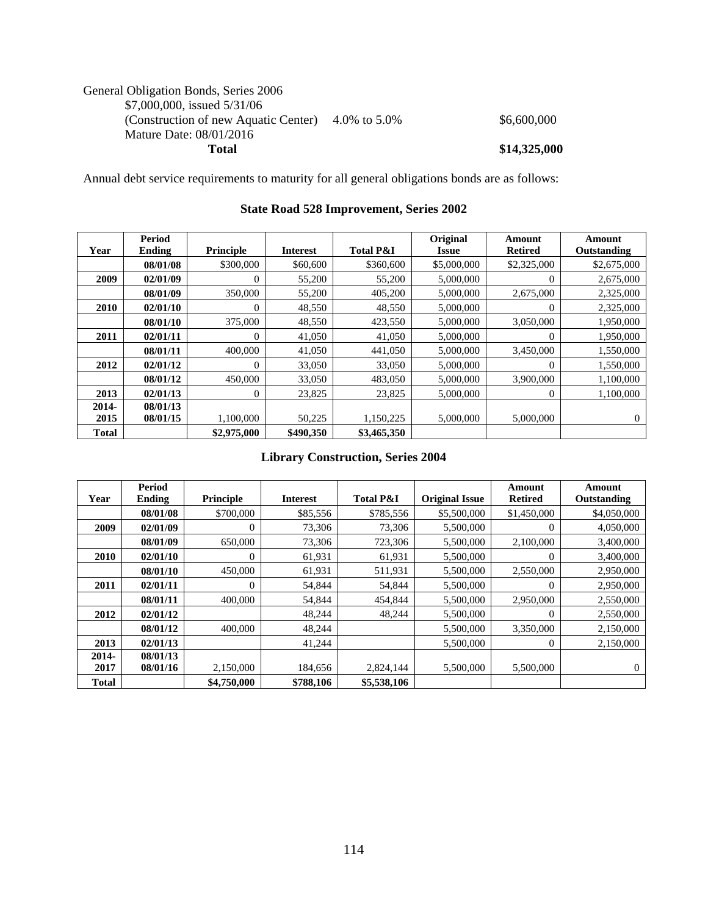# General Obligation Bonds, Series 2006 \$7,000,000, issued 5/31/06 (Construction of new Aquatic Center)  $4.0\%$  to  $5.0\%$  \$6,600,000 \$6,600,000 Mature Date: 08/01/2016 **Total \$14,325,000**

Annual debt service requirements to maturity for all general obligations bonds are as follows:

|              | Period   |                  |                 |                      | Original     | Amount         | Amount       |
|--------------|----------|------------------|-----------------|----------------------|--------------|----------------|--------------|
| Year         | Ending   | <b>Principle</b> | <b>Interest</b> | <b>Total P&amp;I</b> | <b>Issue</b> | <b>Retired</b> | Outstanding  |
|              | 08/01/08 | \$300,000        | \$60,600        | \$360,600            | \$5,000,000  | \$2,325,000    | \$2,675,000  |
| 2009         | 02/01/09 | $\theta$         | 55,200          | 55,200               | 5,000,000    | $\theta$       | 2,675,000    |
|              | 08/01/09 | 350,000          | 55,200          | 405,200              | 5,000,000    | 2,675,000      | 2,325,000    |
| 2010         | 02/01/10 | $\theta$         | 48,550          | 48,550               | 5,000,000    | $\Omega$       | 2,325,000    |
|              | 08/01/10 | 375,000          | 48,550          | 423,550              | 5,000,000    | 3,050,000      | 1,950,000    |
| 2011         | 02/01/11 | $\Omega$         | 41,050          | 41,050               | 5,000,000    | $\Omega$       | 1,950,000    |
|              | 08/01/11 | 400,000          | 41,050          | 441,050              | 5,000,000    | 3,450,000      | 1,550,000    |
| 2012         | 02/01/12 | $\Omega$         | 33,050          | 33,050               | 5,000,000    | $\Omega$       | 1,550,000    |
|              | 08/01/12 | 450,000          | 33,050          | 483,050              | 5,000,000    | 3,900,000      | 1,100,000    |
| 2013         | 02/01/13 | $\Omega$         | 23,825          | 23,825               | 5,000,000    | $\Omega$       | 1,100,000    |
| $2014 -$     | 08/01/13 |                  |                 |                      |              |                |              |
| 2015         | 08/01/15 | 1,100,000        | 50,225          | 1,150,225            | 5,000,000    | 5,000,000      | $\mathbf{0}$ |
| <b>Total</b> |          | \$2,975,000      | \$490,350       | \$3,465,350          |              |                |              |

### **State Road 528 Improvement, Series 2002**

# **Library Construction, Series 2004**

|              | Period        |                  |                 |                      |                       | Amount         | Amount       |
|--------------|---------------|------------------|-----------------|----------------------|-----------------------|----------------|--------------|
| Year         | <b>Ending</b> | <b>Principle</b> | <b>Interest</b> | <b>Total P&amp;I</b> | <b>Original Issue</b> | <b>Retired</b> | Outstanding  |
|              | 08/01/08      | \$700,000        | \$85,556        | \$785,556            | \$5,500,000           | \$1,450,000    | \$4,050,000  |
| 2009         | 02/01/09      | $\overline{0}$   | 73,306          | 73,306               | 5,500,000             | $\theta$       | 4,050,000    |
|              | 08/01/09      | 650,000          | 73,306          | 723,306              | 5,500,000             | 2,100,000      | 3,400,000    |
| <b>2010</b>  | 02/01/10      | 0                | 61,931          | 61,931               | 5,500,000             | $\theta$       | 3,400,000    |
|              | 08/01/10      | 450,000          | 61,931          | 511,931              | 5,500,000             | 2,550,000      | 2,950,000    |
| 2011         | 02/01/11      | $\Omega$         | 54,844          | 54,844               | 5,500,000             | $\Omega$       | 2,950,000    |
|              | 08/01/11      | 400,000          | 54,844          | 454,844              | 5,500,000             | 2,950,000      | 2,550,000    |
| 2012         | 02/01/12      |                  | 48,244          | 48,244               | 5,500,000             | $\Omega$       | 2,550,000    |
|              | 08/01/12      | 400,000          | 48,244          |                      | 5,500,000             | 3,350,000      | 2,150,000    |
| 2013         | 02/01/13      |                  | 41,244          |                      | 5,500,000             | $\theta$       | 2,150,000    |
| 2014-        | 08/01/13      |                  |                 |                      |                       |                |              |
| 2017         | 08/01/16      | 2,150,000        | 184,656         | 2,824,144            | 5,500,000             | 5,500,000      | $\mathbf{0}$ |
| <b>Total</b> |               | \$4,750,000      | \$788,106       | \$5,538,106          |                       |                |              |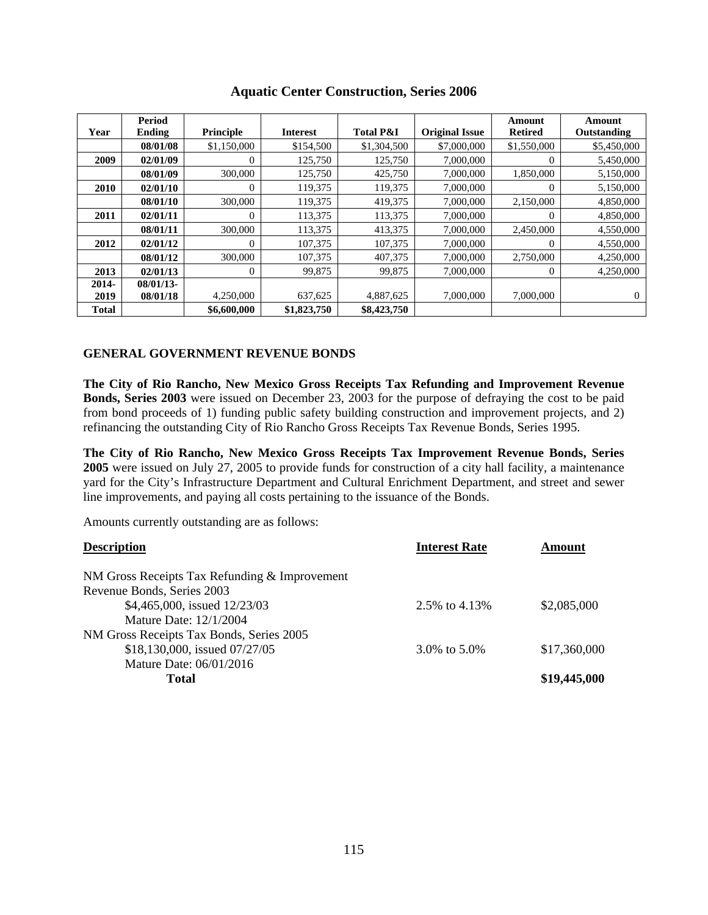|              | Period       |                  |                 |                      |                       | Amount         | Amount       |
|--------------|--------------|------------------|-----------------|----------------------|-----------------------|----------------|--------------|
| Year         | Ending       | <b>Principle</b> | <b>Interest</b> | <b>Total P&amp;I</b> | <b>Original Issue</b> | <b>Retired</b> | Outstanding  |
|              | 08/01/08     | \$1,150,000      | \$154,500       | \$1,304,500          | \$7,000,000           | \$1,550,000    | \$5,450,000  |
| 2009         | 02/01/09     | $\Omega$         | 125,750         | 125,750              | 7,000,000             | $\Omega$       | 5,450,000    |
|              | 08/01/09     | 300,000          | 125,750         | 425,750              | 7,000,000             | 1.850.000      | 5,150,000    |
| <b>2010</b>  | 02/01/10     | $\Omega$         | 119,375         | 119,375              | 7,000,000             | $\Omega$       | 5,150,000    |
|              | 08/01/10     | 300,000          | 119,375         | 419,375              | 7,000,000             | 2,150,000      | 4,850,000    |
| 2011         | 02/01/11     | $\Omega$         | 113,375         | 113,375              | 7,000,000             | $\Omega$       | 4,850,000    |
|              | 08/01/11     | 300,000          | 113,375         | 413,375              | 7,000,000             | 2,450,000      | 4,550,000    |
| 2012         | 02/01/12     | $\Omega$         | 107,375         | 107,375              | 7,000,000             | $\Omega$       | 4,550,000    |
|              | 08/01/12     | 300,000          | 107.375         | 407,375              | 7,000,000             | 2.750,000      | 4,250,000    |
| 2013         | 02/01/13     | $\mathbf{0}$     | 99,875          | 99,875               | 7,000,000             | $\theta$       | 4.250,000    |
| $2014 -$     | $08/01/13$ - |                  |                 |                      |                       |                |              |
| 2019         | 08/01/18     | 4,250,000        | 637,625         | 4,887,625            | 7,000,000             | 7,000,000      | $\mathbf{0}$ |
| <b>Total</b> |              | \$6,600,000      | \$1,823,750     | \$8,423,750          |                       |                |              |

# **Aquatic Center Construction, Series 2006**

# **GENERAL GOVERNMENT REVENUE BONDS**

**The City of Rio Rancho, New Mexico Gross Receipts Tax Refunding and Improvement Revenue Bonds, Series 2003** were issued on December 23, 2003 for the purpose of defraying the cost to be paid from bond proceeds of 1) funding public safety building construction and improvement projects, and 2) refinancing the outstanding City of Rio Rancho Gross Receipts Tax Revenue Bonds, Series 1995.

**The City of Rio Rancho, New Mexico Gross Receipts Tax Improvement Revenue Bonds, Series 2005** were issued on July 27, 2005 to provide funds for construction of a city hall facility, a maintenance yard for the City's Infrastructure Department and Cultural Enrichment Department, and street and sewer line improvements, and paying all costs pertaining to the issuance of the Bonds.

Amounts currently outstanding are as follows:

| <b>Description</b>                            | <b>Interest Rate</b> | Amount       |
|-----------------------------------------------|----------------------|--------------|
| NM Gross Receipts Tax Refunding & Improvement |                      |              |
| Revenue Bonds, Series 2003                    |                      |              |
| \$4,465,000, issued 12/23/03                  | 2.5% to 4.13%        | \$2,085,000  |
| Mature Date: 12/1/2004                        |                      |              |
| NM Gross Receipts Tax Bonds, Series 2005      |                      |              |
| \$18,130,000, issued 07/27/05                 | 3.0% to 5.0%         | \$17,360,000 |
| Mature Date: 06/01/2016                       |                      |              |
| Total                                         |                      | \$19,445,000 |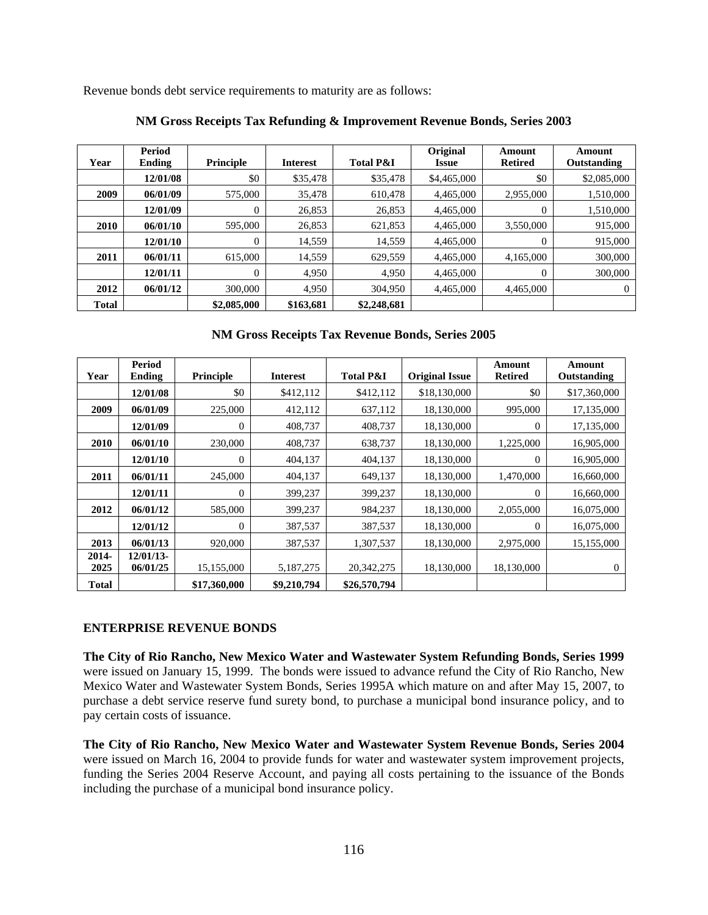Revenue bonds debt service requirements to maturity are as follows:

| Year         | Period<br><b>Ending</b> | <b>Principle</b> | <b>Interest</b> | <b>Total P&amp;I</b> | Original<br><b>Issue</b> | Amount<br><b>Retired</b> | Amount<br>Outstanding |
|--------------|-------------------------|------------------|-----------------|----------------------|--------------------------|--------------------------|-----------------------|
|              | 12/01/08                | \$0              | \$35,478        | \$35,478             | \$4,465,000              | \$0                      | \$2,085,000           |
| 2009         | 06/01/09                | 575,000          | 35.478          | 610,478              | 4,465,000                | 2,955,000                | 1,510,000             |
|              | 12/01/09                | 0                | 26,853          | 26,853               | 4,465,000                | $\Omega$                 | 1,510,000             |
| <b>2010</b>  | 06/01/10                | 595,000          | 26,853          | 621,853              | 4,465,000                | 3,550,000                | 915,000               |
|              | 12/01/10                | $\theta$         | 14,559          | 14,559               | 4,465,000                | $\Omega$                 | 915,000               |
| 2011         | 06/01/11                | 615,000          | 14,559          | 629,559              | 4,465,000                | 4,165,000                | 300,000               |
|              | 12/01/11                | 0                | 4,950           | 4,950                | 4,465,000                | $\Omega$                 | 300,000               |
| 2012         | 06/01/12                | 300,000          | 4,950           | 304,950              | 4,465,000                | 4,465,000                | $\Omega$              |
| <b>Total</b> |                         | \$2,085,000      | \$163,681       | \$2,248,681          |                          |                          |                       |

#### **NM Gross Receipts Tax Refunding & Improvement Revenue Bonds, Series 2003**

# **NM Gross Receipts Tax Revenue Bonds, Series 2005**

| Year                 | Period<br><b>Ending</b> | Principle        | <b>Interest</b>          | <b>Total P&amp;I</b>       | <b>Original Issue</b> | Amount<br><b>Retired</b> | Amount<br>Outstanding |
|----------------------|-------------------------|------------------|--------------------------|----------------------------|-----------------------|--------------------------|-----------------------|
|                      | 12/01/08                | \$0              | \$412,112                | \$412,112                  | \$18,130,000          | \$0                      | \$17,360,000          |
| 2009                 | 06/01/09                | 225,000          | 412,112                  | 637,112                    | 18,130,000            | 995,000                  | 17,135,000            |
|                      | 12/01/09                | $\overline{0}$   | 408,737                  | 408,737                    | 18,130,000            | $\theta$                 | 17,135,000            |
| 2010                 | 06/01/10                | 230,000          | 408,737                  | 638,737                    | 18,130,000            | 1,225,000                | 16,905,000            |
|                      | 12/01/10                | $\boldsymbol{0}$ | 404,137                  | 404,137                    | 18,130,000            | $\theta$                 | 16,905,000            |
| 2011                 | 06/01/11                | 245,000          | 404,137                  | 649,137                    | 18,130,000            | 1,470,000                | 16,660,000            |
|                      | 12/01/11                | $\overline{0}$   | 399,237                  | 399,237                    | 18,130,000            | $\theta$                 | 16,660,000            |
| 2012                 | 06/01/12                | 585,000          | 399,237                  | 984,237                    | 18,130,000            | 2,055,000                | 16,075,000            |
|                      | 12/01/12                | $\overline{0}$   | 387,537                  | 387,537                    | 18,130,000            | $\Omega$                 | 16,075,000            |
| 2013                 | 06/01/13                | 920,000          | 387,537                  | 1,307,537                  | 18,130,000            | 2,975,000                | 15,155,000            |
| 2014-                | $12/01/13$ -            | 15,155,000       |                          |                            | 18,130,000            | 18,130,000               |                       |
| 2025<br><b>Total</b> | 06/01/25                | \$17,360,000     | 5,187,275<br>\$9,210,794 | 20,342,275<br>\$26,570,794 |                       |                          | $\overline{0}$        |

### **ENTERPRISE REVENUE BONDS**

**The City of Rio Rancho, New Mexico Water and Wastewater System Refunding Bonds, Series 1999** were issued on January 15, 1999. The bonds were issued to advance refund the City of Rio Rancho, New Mexico Water and Wastewater System Bonds, Series 1995A which mature on and after May 15, 2007, to purchase a debt service reserve fund surety bond, to purchase a municipal bond insurance policy, and to pay certain costs of issuance.

**The City of Rio Rancho, New Mexico Water and Wastewater System Revenue Bonds, Series 2004** were issued on March 16, 2004 to provide funds for water and wastewater system improvement projects, funding the Series 2004 Reserve Account, and paying all costs pertaining to the issuance of the Bonds including the purchase of a municipal bond insurance policy.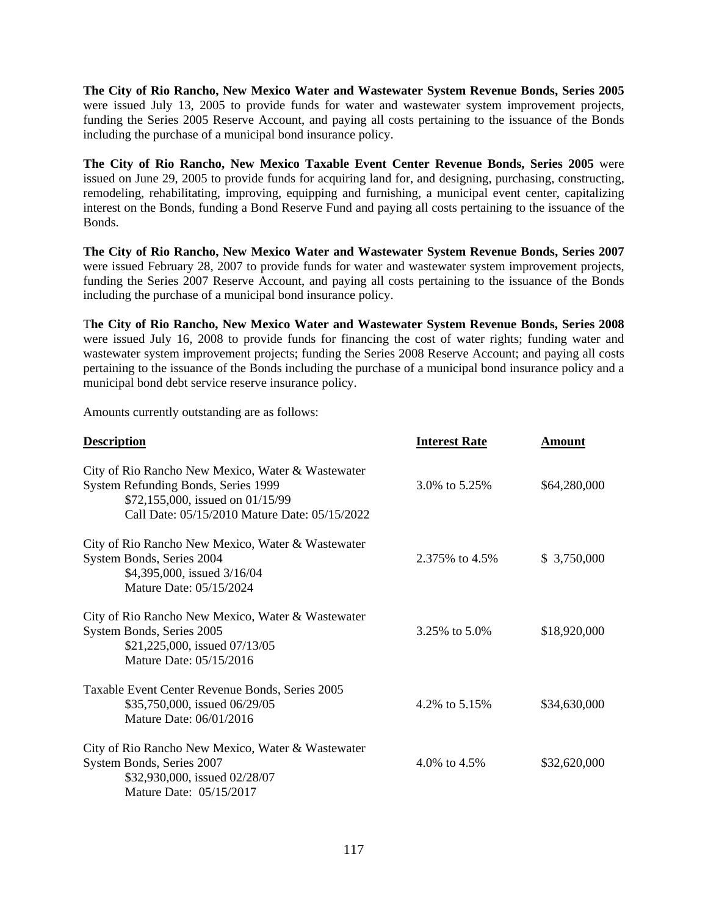**The City of Rio Rancho, New Mexico Water and Wastewater System Revenue Bonds, Series 2005**  were issued July 13, 2005 to provide funds for water and wastewater system improvement projects, funding the Series 2005 Reserve Account, and paying all costs pertaining to the issuance of the Bonds including the purchase of a municipal bond insurance policy.

**The City of Rio Rancho, New Mexico Taxable Event Center Revenue Bonds, Series 2005** were issued on June 29, 2005 to provide funds for acquiring land for, and designing, purchasing, constructing, remodeling, rehabilitating, improving, equipping and furnishing, a municipal event center, capitalizing interest on the Bonds, funding a Bond Reserve Fund and paying all costs pertaining to the issuance of the Bonds.

**The City of Rio Rancho, New Mexico Water and Wastewater System Revenue Bonds, Series 2007**  were issued February 28, 2007 to provide funds for water and wastewater system improvement projects, funding the Series 2007 Reserve Account, and paying all costs pertaining to the issuance of the Bonds including the purchase of a municipal bond insurance policy.

T**he City of Rio Rancho, New Mexico Water and Wastewater System Revenue Bonds, Series 2008**  were issued July 16, 2008 to provide funds for financing the cost of water rights; funding water and wastewater system improvement projects; funding the Series 2008 Reserve Account; and paying all costs pertaining to the issuance of the Bonds including the purchase of a municipal bond insurance policy and a municipal bond debt service reserve insurance policy.

Amounts currently outstanding are as follows:

| <b>Description</b>                                                                                                                                                            | <b>Interest Rate</b> | <b>Amount</b> |
|-------------------------------------------------------------------------------------------------------------------------------------------------------------------------------|----------------------|---------------|
| City of Rio Rancho New Mexico, Water & Wastewater<br>System Refunding Bonds, Series 1999<br>\$72,155,000, issued on 01/15/99<br>Call Date: 05/15/2010 Mature Date: 05/15/2022 | 3.0% to 5.25%        | \$64,280,000  |
| City of Rio Rancho New Mexico, Water & Wastewater<br>System Bonds, Series 2004<br>\$4,395,000, issued 3/16/04<br>Mature Date: 05/15/2024                                      | 2.375\% to 4.5\%     | \$3,750,000   |
| City of Rio Rancho New Mexico, Water & Wastewater<br>System Bonds, Series 2005<br>\$21,225,000, issued 07/13/05<br>Mature Date: 05/15/2016                                    | 3.25% to 5.0%        | \$18,920,000  |
| Taxable Event Center Revenue Bonds, Series 2005<br>\$35,750,000, issued 06/29/05<br>Mature Date: 06/01/2016                                                                   | 4.2\% to 5.15\%      | \$34,630,000  |
| City of Rio Rancho New Mexico, Water & Wastewater<br>System Bonds, Series 2007<br>\$32,930,000, issued 02/28/07<br>Mature Date: 05/15/2017                                    | 4.0\% to 4.5\%       | \$32,620,000  |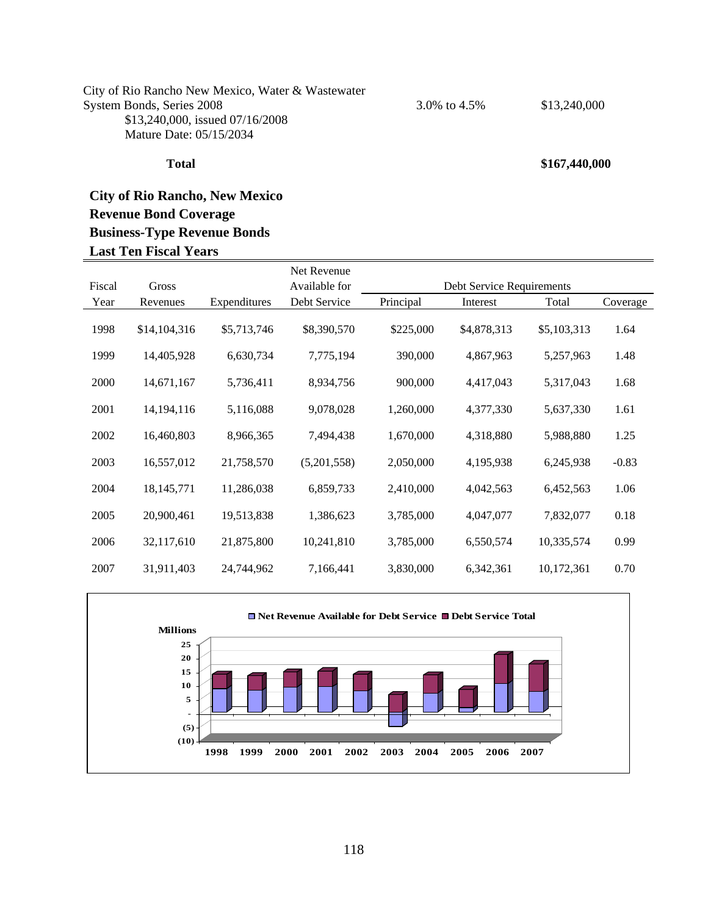#### City of Rio Rancho New Mexico, Water & Wastewater System Bonds, Series 2008 3.0% to 4.5% \$13,240,000 \$13,240,000, issued 07/16/2008 Mature Date: 05/15/2034

# **City of Rio Rancho, New Mexico Revenue Bond Coverage Business-Type Revenue Bonds Last Ten Fiscal Years**

|        |              |              | Net Revenue   |           |                           |             |          |
|--------|--------------|--------------|---------------|-----------|---------------------------|-------------|----------|
| Fiscal | Gross        |              | Available for |           | Debt Service Requirements |             |          |
| Year   | Revenues     | Expenditures | Debt Service  | Principal | Interest                  | Total       | Coverage |
| 1998   | \$14,104,316 | \$5,713,746  | \$8,390,570   | \$225,000 | \$4,878,313               | \$5,103,313 | 1.64     |
| 1999   | 14,405,928   | 6,630,734    | 7,775,194     | 390,000   | 4,867,963                 | 5,257,963   | 1.48     |
| 2000   | 14,671,167   | 5,736,411    | 8,934,756     | 900,000   | 4,417,043                 | 5,317,043   | 1.68     |
| 2001   | 14, 194, 116 | 5,116,088    | 9,078,028     | 1,260,000 | 4,377,330                 | 5,637,330   | 1.61     |
| 2002   | 16,460,803   | 8,966,365    | 7,494,438     | 1,670,000 | 4,318,880                 | 5,988,880   | 1.25     |
| 2003   | 16,557,012   | 21,758,570   | (5,201,558)   | 2,050,000 | 4,195,938                 | 6,245,938   | $-0.83$  |
| 2004   | 18, 145, 771 | 11,286,038   | 6,859,733     | 2,410,000 | 4,042,563                 | 6,452,563   | 1.06     |
| 2005   | 20,900,461   | 19,513,838   | 1,386,623     | 3,785,000 | 4,047,077                 | 7,832,077   | 0.18     |
| 2006   | 32,117,610   | 21,875,800   | 10,241,810    | 3,785,000 | 6,550,574                 | 10,335,574  | 0.99     |
| 2007   | 31,911,403   | 24,744,962   | 7,166,441     | 3,830,000 | 6,342,361                 | 10,172,361  | 0.70     |



#### **Total \$167,440,000**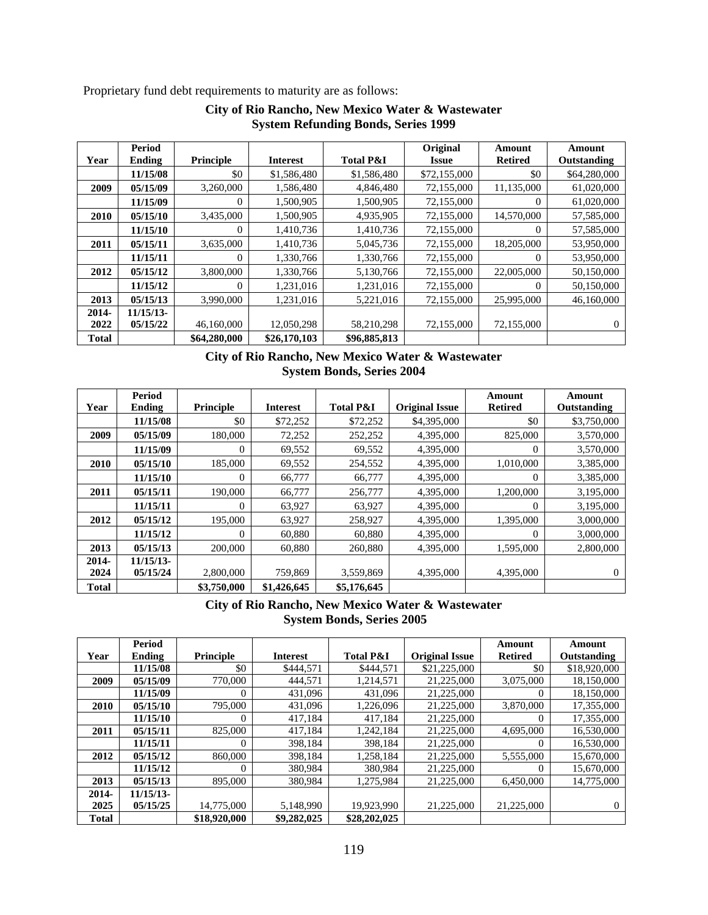Proprietary fund debt requirements to maturity are as follows:

|              | Period       |                  |                 |                      | Original            | Amount         | Amount       |
|--------------|--------------|------------------|-----------------|----------------------|---------------------|----------------|--------------|
| Year         | Ending       | <b>Principle</b> | <b>Interest</b> | <b>Total P&amp;I</b> | <i><b>Issue</b></i> | <b>Retired</b> | Outstanding  |
|              | 11/15/08     | \$0              | \$1,586,480     | \$1,586,480          | \$72,155,000        | \$0            | \$64,280,000 |
| 2009         | 05/15/09     | 3,260,000        | 1,586,480       | 4,846,480            | 72,155,000          | 11,135,000     | 61,020,000   |
|              | 11/15/09     | $\Omega$         | 1,500,905       | 1,500,905            | 72,155,000          | $\theta$       | 61,020,000   |
| 2010         | 05/15/10     | 3,435,000        | 1,500,905       | 4,935,905            | 72,155,000          | 14,570,000     | 57,585,000   |
|              | 11/15/10     | $\Omega$         | 1,410,736       | 1,410,736            | 72,155,000          | $\Omega$       | 57,585,000   |
| 2011         | 05/15/11     | 3,635,000        | 1,410,736       | 5,045,736            | 72,155,000          | 18,205,000     | 53,950,000   |
|              | 11/15/11     | 0                | 1,330,766       | 1,330,766            | 72,155,000          | 0              | 53,950,000   |
| 2012         | 05/15/12     | 3,800,000        | 1,330,766       | 5,130,766            | 72,155,000          | 22,005,000     | 50,150,000   |
|              | 11/15/12     | $\Omega$         | 1,231,016       | 1,231,016            | 72,155,000          | $\Omega$       | 50,150,000   |
| 2013         | 05/15/13     | 3,990,000        | 1,231,016       | 5,221,016            | 72,155,000          | 25,995,000     | 46,160,000   |
| 2014-        | $11/15/13$ - |                  |                 |                      |                     |                |              |
| 2022         | 05/15/22     | 46,160,000       | 12,050,298      | 58,210,298           | 72,155,000          | 72,155,000     | 0            |
| <b>Total</b> |              | \$64,280,000     | \$26,170,103    | \$96,885,813         |                     |                |              |

# **City of Rio Rancho, New Mexico Water & Wastewater System Refunding Bonds, Series 1999**

# **City of Rio Rancho, New Mexico Water & Wastewater System Bonds, Series 2004**

|              | Period        |             |                 |                      |                       | Amount         | Amount       |
|--------------|---------------|-------------|-----------------|----------------------|-----------------------|----------------|--------------|
| Year         | <b>Ending</b> | Principle   | <b>Interest</b> | <b>Total P&amp;I</b> | <b>Original Issue</b> | <b>Retired</b> | Outstanding  |
|              | 11/15/08      | \$0         | \$72,252        | \$72,252             | \$4,395,000           | \$0            | \$3,750,000  |
| 2009         | 05/15/09      | 180,000     | 72,252          | 252,252              | 4,395,000             | 825,000        | 3,570,000    |
|              | 11/15/09      | $\Omega$    | 69,552          | 69,552               | 4,395,000             | $\Omega$       | 3,570,000    |
| 2010         | 05/15/10      | 185,000     | 69,552          | 254,552              | 4,395,000             | 1,010,000      | 3,385,000    |
|              | 11/15/10      | $\theta$    | 66,777          | 66,777               | 4,395,000             | $\Omega$       | 3,385,000    |
| 2011         | 05/15/11      | 190,000     | 66,777          | 256,777              | 4,395,000             | 1,200,000      | 3,195,000    |
|              | 11/15/11      | $\theta$    | 63,927          | 63,927               | 4,395,000             | $\Omega$       | 3,195,000    |
| 2012         | 05/15/12      | 195,000     | 63,927          | 258,927              | 4,395,000             | 1,395,000      | 3,000,000    |
|              | 11/15/12      | $\theta$    | 60,880          | 60,880               | 4,395,000             | 0              | 3,000,000    |
| 2013         | 05/15/13      | 200,000     | 60,880          | 260,880              | 4,395,000             | 1,595,000      | 2,800,000    |
| 2014-        | $11/15/13$ -  |             |                 |                      |                       |                |              |
| 2024         | 05/15/24      | 2,800,000   | 759,869         | 3,559,869            | 4,395,000             | 4.395,000      | $\mathbf{0}$ |
| <b>Total</b> |               | \$3,750,000 | \$1,426,645     | \$5,176,645          |                       |                |              |

# **City of Rio Rancho, New Mexico Water & Wastewater System Bonds, Series 2005**

|              | <b>Period</b> |              |                 |                      |                       | Amount         | Amount       |
|--------------|---------------|--------------|-----------------|----------------------|-----------------------|----------------|--------------|
| Year         | <b>Ending</b> | Principle    | <b>Interest</b> | <b>Total P&amp;I</b> | <b>Original Issue</b> | <b>Retired</b> | Outstanding  |
|              | 11/15/08      | \$0          | \$444,571       | \$444.571            | \$21,225,000          | \$0            | \$18,920,000 |
| 2009         | 05/15/09      | 770,000      | 444.571         | 1,214,571            | 21,225,000            | 3,075,000      | 18,150,000   |
|              | 11/15/09      | 0            | 431,096         | 431,096              | 21,225,000            | 0              | 18,150,000   |
| 2010         | 05/15/10      | 795,000      | 431,096         | 1.226.096            | 21,225,000            | 3,870,000      | 17,355,000   |
|              | 11/15/10      | $\Omega$     | 417.184         | 417.184              | 21,225,000            | 0              | 17,355,000   |
| 2011         | 05/15/11      | 825,000      | 417,184         | 1,242,184            | 21,225,000            | 4,695,000      | 16,530,000   |
|              | 11/15/11      | $\Omega$     | 398,184         | 398,184              | 21,225,000            | 0              | 16,530,000   |
| 2012         | 05/15/12      | 860,000      | 398,184         | 1,258,184            | 21,225,000            | 5,555,000      | 15,670,000   |
|              | 11/15/12      | $\Omega$     | 380,984         | 380,984              | 21,225,000            | 0              | 15,670,000   |
| 2013         | 05/15/13      | 895,000      | 380,984         | 1,275,984            | 21,225,000            | 6,450,000      | 14,775,000   |
| 2014-        | $11/15/13$ -  |              |                 |                      |                       |                |              |
| 2025         | 05/15/25      | 14,775,000   | 5.148.990       | 19,923,990           | 21,225,000            | 21,225,000     | $_{0}$       |
| <b>Total</b> |               | \$18,920,000 | \$9,282,025     | \$28,202,025         |                       |                |              |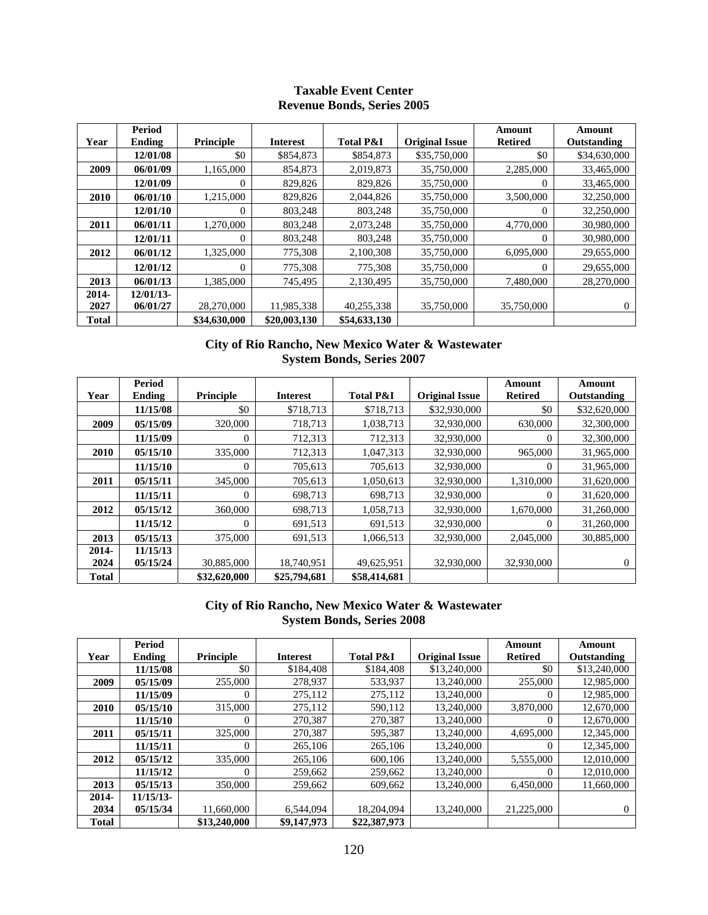## **Taxable Event Center Revenue Bonds, Series 2005**

| Year         | Period<br>Ending | Principle    | <b>Interest</b> | <b>Total P&amp;I</b> | <b>Original Issue</b> | Amount<br><b>Retired</b> | Amount<br>Outstanding |
|--------------|------------------|--------------|-----------------|----------------------|-----------------------|--------------------------|-----------------------|
|              | 12/01/08         | \$0          | \$854,873       | \$854,873            | \$35,750,000          | \$0                      | \$34,630,000          |
| 2009         | 06/01/09         | 1,165,000    | 854,873         | 2,019,873            | 35,750,000            | 2,285,000                | 33,465,000            |
|              | 12/01/09         | $\Omega$     | 829,826         | 829,826              | 35,750,000            | $\Omega$                 | 33,465,000            |
| 2010         | 06/01/10         | 1,215,000    | 829,826         | 2,044,826            | 35,750,000            | 3,500,000                | 32,250,000            |
|              | 12/01/10         | $\Omega$     | 803,248         | 803,248              | 35,750,000            | $\Omega$                 | 32,250,000            |
| 2011         | 06/01/11         | 1,270,000    | 803,248         | 2,073,248            | 35,750,000            | 4,770,000                | 30,980,000            |
|              | 12/01/11         | $\Omega$     | 803,248         | 803,248              | 35,750,000            | $\Omega$                 | 30,980,000            |
| 2012         | 06/01/12         | 1,325,000    | 775,308         | 2,100,308            | 35,750,000            | 6,095,000                | 29,655,000            |
|              | 12/01/12         | $\Omega$     | 775,308         | 775,308              | 35,750,000            | $\Omega$                 | 29,655,000            |
| 2013         | 06/01/13         | 1.385,000    | 745.495         | 2.130.495            | 35,750,000            | 7,480,000                | 28,270,000            |
| 2014-        | $12/01/13$ -     |              |                 |                      |                       |                          |                       |
| 2027         | 06/01/27         | 28,270,000   | 11,985,338      | 40,255,338           | 35,750,000            | 35,750,000               | $\Omega$              |
| <b>Total</b> |                  | \$34,630,000 | \$20,003,130    | \$54,633,130         |                       |                          |                       |

# **City of Rio Rancho, New Mexico Water & Wastewater System Bonds, Series 2007**

| Year         | Period<br><b>Ending</b> | <b>Principle</b> | <b>Interest</b> | <b>Total P&amp;I</b> | <b>Original Issue</b> | Amount<br><b>Retired</b> | Amount<br>Outstanding |
|--------------|-------------------------|------------------|-----------------|----------------------|-----------------------|--------------------------|-----------------------|
|              | 11/15/08                | \$0              | \$718,713       | \$718,713            | \$32,930,000          | \$0                      | \$32,620,000          |
| 2009         | 05/15/09                | 320,000          | 718.713         | 1.038.713            | 32,930,000            | 630,000                  | 32,300,000            |
|              | 11/15/09                | $\Omega$         | 712,313         | 712,313              | 32,930,000            | $\Omega$                 | 32,300,000            |
| 2010         | 05/15/10                | 335,000          | 712,313         | 1,047,313            | 32,930,000            | 965,000                  | 31,965,000            |
|              | 11/15/10                | $\theta$         | 705,613         | 705,613              | 32,930,000            | $\Omega$                 | 31,965,000            |
| 2011         | 05/15/11                | 345,000          | 705,613         | 1,050,613            | 32,930,000            | 1,310,000                | 31,620,000            |
|              | 11/15/11                | $\theta$         | 698,713         | 698,713              | 32,930,000            | 0                        | 31,620,000            |
| 2012         | 05/15/12                | 360,000          | 698,713         | 1,058,713            | 32,930,000            | 1,670,000                | 31,260,000            |
|              | 11/15/12                | $\theta$         | 691,513         | 691,513              | 32,930,000            | 0                        | 31,260,000            |
| 2013         | 05/15/13                | 375,000          | 691,513         | 1,066,513            | 32,930,000            | 2,045,000                | 30,885,000            |
| 2014-        | 11/15/13                |                  |                 |                      |                       |                          |                       |
| 2024         | 05/15/24                | 30,885,000       | 18,740,951      | 49,625,951           | 32,930,000            | 32,930,000               | $\Omega$              |
| <b>Total</b> |                         | \$32,620,000     | \$25,794,681    | \$58,414,681         |                       |                          |                       |

# **City of Rio Rancho, New Mexico Water & Wastewater System Bonds, Series 2008**

|              | Period       |                  |                 |                      |                       | Amount         | Amount       |
|--------------|--------------|------------------|-----------------|----------------------|-----------------------|----------------|--------------|
| Year         | Ending       | <b>Principle</b> | <b>Interest</b> | <b>Total P&amp;I</b> | <b>Original Issue</b> | <b>Retired</b> | Outstanding  |
|              | 11/15/08     | \$0              | \$184,408       | \$184,408            | \$13,240,000          | \$0            | \$13,240,000 |
| 2009         | 05/15/09     | 255,000          | 278,937         | 533,937              | 13,240,000            | 255,000        | 12,985,000   |
|              | 11/15/09     | 0                | 275,112         | 275,112              | 13,240,000            | 0              | 12,985,000   |
| 2010         | 05/15/10     | 315,000          | 275,112         | 590,112              | 13,240,000            | 3,870,000      | 12,670,000   |
|              | 11/15/10     | 0                | 270,387         | 270,387              | 13,240,000            | 0              | 12,670,000   |
| 2011         | 05/15/11     | 325,000          | 270.387         | 595,387              | 13.240,000            | 4,695,000      | 12,345,000   |
|              | 11/15/11     | $\Omega$         | 265,106         | 265,106              | 13,240,000            | 0              | 12,345,000   |
| 2012         | 05/15/12     | 335,000          | 265,106         | 600,106              | 13,240,000            | 5,555,000      | 12,010,000   |
|              | 11/15/12     |                  | 259,662         | 259,662              | 13,240,000            |                | 12,010,000   |
| 2013         | 05/15/13     | 350,000          | 259,662         | 609,662              | 13.240.000            | 6,450,000      | 11,660,000   |
| 2014-        | $11/15/13$ - |                  |                 |                      |                       |                |              |
| 2034         | 05/15/34     | 11,660,000       | 6,544,094       | 18,204,094           | 13,240,000            | 21,225,000     | $\Omega$     |
| <b>Total</b> |              | \$13,240,000     | \$9,147,973     | \$22,387,973         |                       |                |              |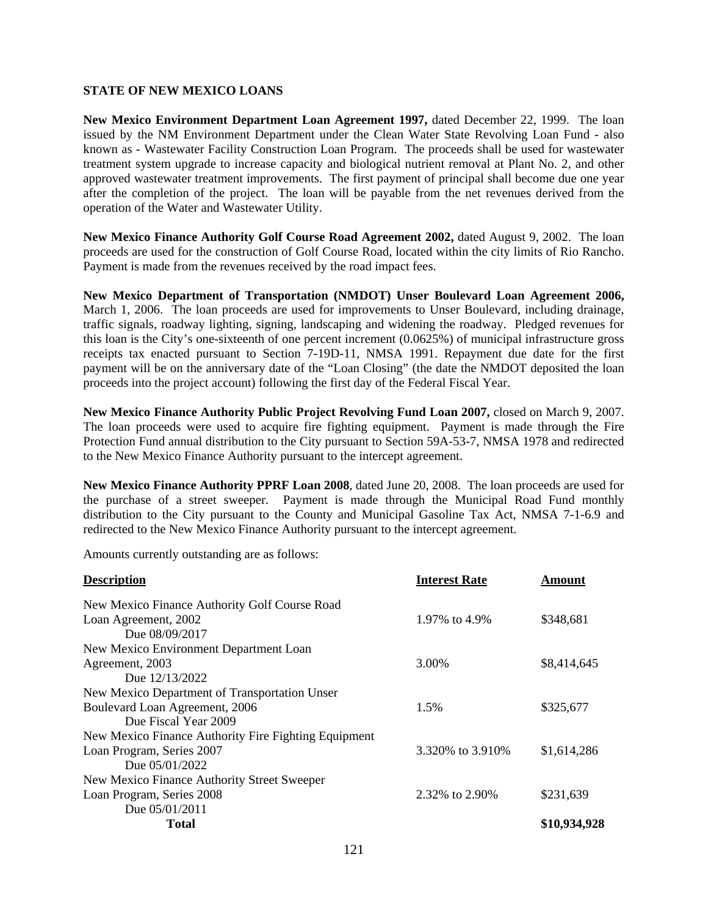#### **STATE OF NEW MEXICO LOANS**

**New Mexico Environment Department Loan Agreement 1997,** dated December 22, 1999. The loan issued by the NM Environment Department under the Clean Water State Revolving Loan Fund - also known as - Wastewater Facility Construction Loan Program. The proceeds shall be used for wastewater treatment system upgrade to increase capacity and biological nutrient removal at Plant No. 2, and other approved wastewater treatment improvements. The first payment of principal shall become due one year after the completion of the project. The loan will be payable from the net revenues derived from the operation of the Water and Wastewater Utility.

**New Mexico Finance Authority Golf Course Road Agreement 2002,** dated August 9, 2002. The loan proceeds are used for the construction of Golf Course Road, located within the city limits of Rio Rancho. Payment is made from the revenues received by the road impact fees.

**New Mexico Department of Transportation (NMDOT) Unser Boulevard Loan Agreement 2006,**  March 1, 2006. The loan proceeds are used for improvements to Unser Boulevard, including drainage, traffic signals, roadway lighting, signing, landscaping and widening the roadway. Pledged revenues for this loan is the City's one-sixteenth of one percent increment (0.0625%) of municipal infrastructure gross receipts tax enacted pursuant to Section 7-19D-11, NMSA 1991. Repayment due date for the first payment will be on the anniversary date of the "Loan Closing" (the date the NMDOT deposited the loan proceeds into the project account) following the first day of the Federal Fiscal Year.

**New Mexico Finance Authority Public Project Revolving Fund Loan 2007,** closed on March 9, 2007. The loan proceeds were used to acquire fire fighting equipment. Payment is made through the Fire Protection Fund annual distribution to the City pursuant to Section 59A-53-7, NMSA 1978 and redirected to the New Mexico Finance Authority pursuant to the intercept agreement.

**New Mexico Finance Authority PPRF Loan 2008**, dated June 20, 2008. The loan proceeds are used for the purchase of a street sweeper. Payment is made through the Municipal Road Fund monthly distribution to the City pursuant to the County and Municipal Gasoline Tax Act, NMSA 7-1-6.9 and redirected to the New Mexico Finance Authority pursuant to the intercept agreement.

Amounts currently outstanding are as follows:

| <b>Description</b>                                   | <b>Interest Rate</b> | <b>Amount</b> |
|------------------------------------------------------|----------------------|---------------|
| New Mexico Finance Authority Golf Course Road        |                      |               |
| Loan Agreement, 2002                                 | 1.97% to 4.9%        | \$348,681     |
| Due 08/09/2017                                       |                      |               |
| New Mexico Environment Department Loan               |                      |               |
| Agreement, 2003                                      | 3.00%                | \$8,414,645   |
| Due 12/13/2022                                       |                      |               |
| New Mexico Department of Transportation Unser        |                      |               |
| Boulevard Loan Agreement, 2006                       | 1.5%                 | \$325,677     |
| Due Fiscal Year 2009                                 |                      |               |
| New Mexico Finance Authority Fire Fighting Equipment |                      |               |
| Loan Program, Series 2007                            | 3.320\% to 3.910\%   | \$1,614,286   |
| Due 05/01/2022                                       |                      |               |
| New Mexico Finance Authority Street Sweeper          |                      |               |
| Loan Program, Series 2008                            | 2.32\% to 2.90\%     | \$231,639     |
| Due $05/01/2011$                                     |                      |               |
| Total                                                |                      | \$10,934,928  |
|                                                      |                      |               |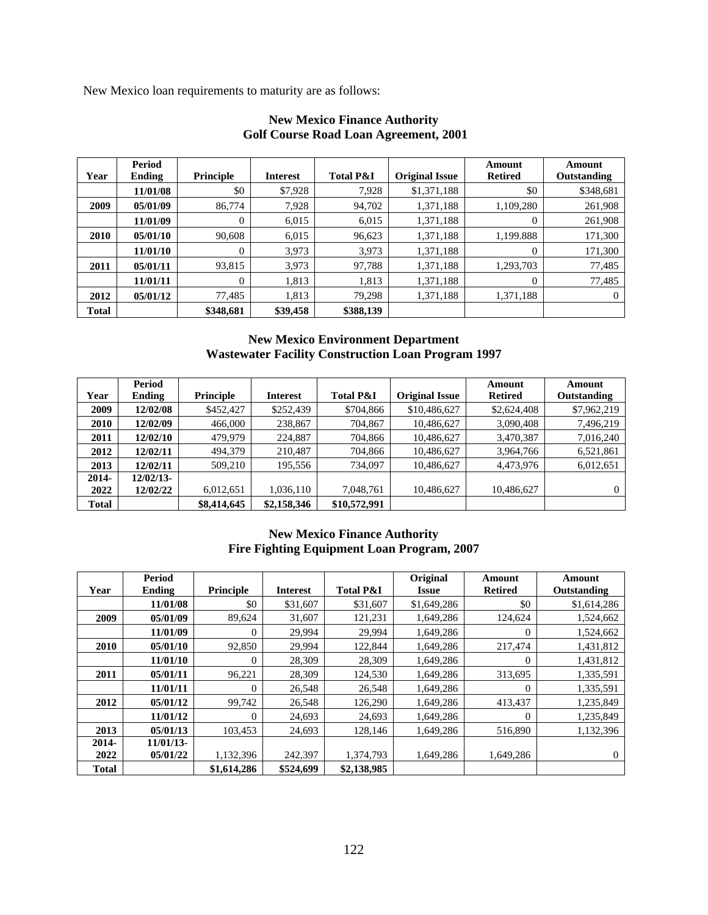New Mexico loan requirements to maturity are as follows:

|       | <b>Period</b> |                  |                 |                      |                       | Amount         | Amount      |
|-------|---------------|------------------|-----------------|----------------------|-----------------------|----------------|-------------|
| Year  | Ending        | <b>Principle</b> | <b>Interest</b> | <b>Total P&amp;I</b> | <b>Original Issue</b> | <b>Retired</b> | Outstanding |
|       | 11/01/08      | \$0              | \$7,928         | 7,928                | \$1,371,188           | \$0            | \$348,681   |
| 2009  | 05/01/09      | 86,774           | 7,928           | 94,702               | 1,371,188             | 1,109,280      | 261,908     |
|       | 11/01/09      | $\boldsymbol{0}$ | 6,015           | 6,015                | 1,371,188             | 0              | 261,908     |
| 2010  | 05/01/10      | 90.608           | 6,015           | 96,623               | 1,371,188             | 1,199.888      | 171,300     |
|       | 11/01/10      | $\overline{0}$   | 3,973           | 3,973                | 1,371,188             | 0              | 171,300     |
| 2011  | 05/01/11      | 93,815           | 3,973           | 97,788               | 1,371,188             | 1,293,703      | 77,485      |
|       | 11/01/11      | $\Omega$         | 1,813           | 1,813                | 1,371,188             | $\overline{0}$ | 77,485      |
| 2012  | 05/01/12      | 77,485           | 1,813           | 79,298               | 1,371,188             | 1,371,188      | $\Omega$    |
| Total |               | \$348,681        | \$39,458        | \$388,139            |                       |                |             |

# **New Mexico Finance Authority Golf Course Road Loan Agreement, 2001**

# **New Mexico Environment Department Wastewater Facility Construction Loan Program 1997**

|              | <b>Period</b> |                  |                 |                      |                       | Amount         | Amount      |
|--------------|---------------|------------------|-----------------|----------------------|-----------------------|----------------|-------------|
| Year         | Ending        | <b>Principle</b> | <b>Interest</b> | <b>Total P&amp;I</b> | <b>Original Issue</b> | <b>Retired</b> | Outstanding |
| 2009         | 12/02/08      | \$452,427        | \$252,439       | \$704,866            | \$10,486,627          | \$2,624,408    | \$7,962,219 |
| 2010         | 12/02/09      | 466,000          | 238,867         | 704,867              | 10,486,627            | 3,090,408      | 7,496,219   |
| 2011         | 12/02/10      | 479.979          | 224,887         | 704,866              | 10,486,627            | 3,470,387      | 7,016,240   |
| 2012         | 12/02/11      | 494,379          | 210,487         | 704,866              | 10,486,627            | 3,964,766      | 6,521,861   |
| 2013         | 12/02/11      | 509,210          | 195,556         | 734,097              | 10,486,627            | 4,473,976      | 6,012,651   |
| $2014 -$     | $12/02/13-$   |                  |                 |                      |                       |                |             |
| 2022         | 12/02/22      | 6,012,651        | 1,036,110       | 7,048,761            | 10,486,627            | 10,486,627     | $^{(1)}$    |
| <b>Total</b> |               | \$8,414,645      | \$2,158,346     | \$10,572,991         |                       |                |             |

# **New Mexico Finance Authority Fire Fighting Equipment Loan Program, 2007**

| Year         | Period<br><b>Ending</b> | <b>Principle</b> | <b>Interest</b> | <b>Total P&amp;I</b> | Original<br>Issue | Amount<br><b>Retired</b> | Amount<br>Outstanding |
|--------------|-------------------------|------------------|-----------------|----------------------|-------------------|--------------------------|-----------------------|
|              | 11/01/08                | \$0              | \$31,607        | \$31,607             | \$1,649,286       | \$0                      | \$1,614,286           |
| 2009         | 05/01/09                | 89,624           | 31,607          | 121,231              | 1,649,286         | 124,624                  | 1,524,662             |
|              | 11/01/09                | $\overline{0}$   | 29,994          | 29,994               | 1,649,286         | $\theta$                 | 1,524,662             |
| 2010         | 05/01/10                | 92,850           | 29,994          | 122,844              | 1,649,286         | 217,474                  | 1,431,812             |
|              | 11/01/10                | $\mathbf{0}$     | 28,309          | 28,309               | 1,649,286         | $\theta$                 | 1,431,812             |
| 2011         | 05/01/11                | 96,221           | 28,309          | 124,530              | 1,649,286         | 313,695                  | 1,335,591             |
|              | 11/01/11                | $\overline{0}$   | 26,548          | 26,548               | 1,649,286         | $\theta$                 | 1,335,591             |
| 2012         | 05/01/12                | 99,742           | 26,548          | 126,290              | 1,649,286         | 413,437                  | 1,235,849             |
|              | 11/01/12                | $\overline{0}$   | 24,693          | 24,693               | 1,649,286         | $\theta$                 | 1,235,849             |
| 2013         | 05/01/13                | 103,453          | 24,693          | 128,146              | 1,649,286         | 516,890                  | 1,132,396             |
| 2014-        | $11/01/13$ -            |                  |                 |                      |                   |                          |                       |
| 2022         | 05/01/22                | 1,132,396        | 242,397         | 1,374,793            | 1,649,286         | 1,649,286                | 0                     |
| <b>Total</b> |                         | \$1,614,286      | \$524,699       | \$2,138,985          |                   |                          |                       |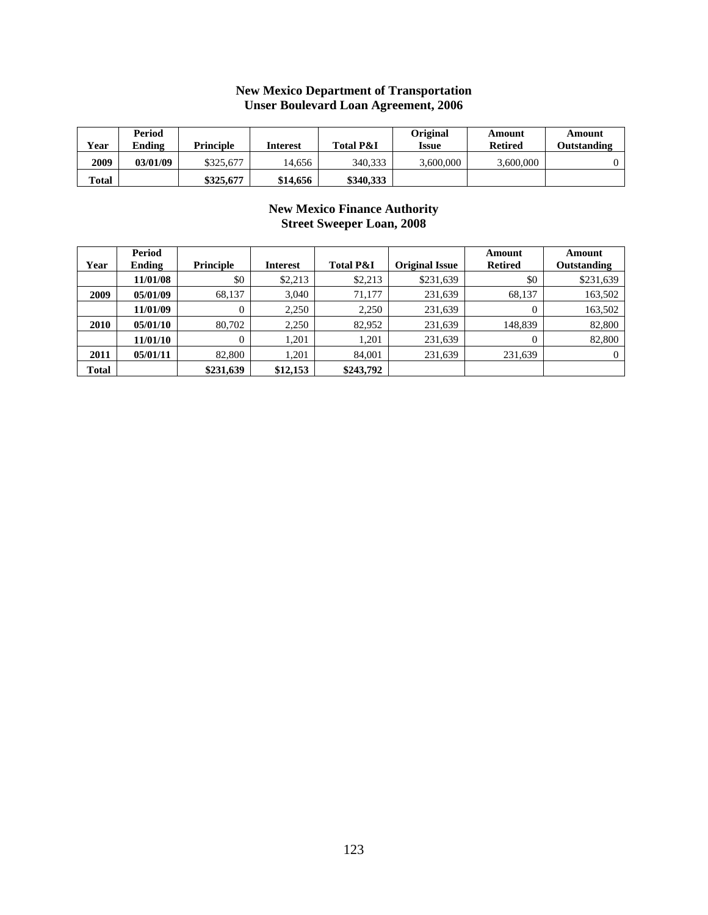| Year  | Period<br>Ending | <b>Principle</b> | <b>Interest</b> | <b>Total P&amp;I</b> | Original<br><b>Issue</b> | Amount<br><b>Retired</b> | Amount<br>Outstanding |
|-------|------------------|------------------|-----------------|----------------------|--------------------------|--------------------------|-----------------------|
| 2009  | 03/01/09         | \$325,677        | 14.656          | 340.333              | 3.600.000                | 3,600,000                |                       |
| Total |                  | \$325,677        | \$14,656        | \$340,333            |                          |                          |                       |

#### **New Mexico Department of Transportation Unser Boulevard Loan Agreement, 2006**

# **New Mexico Finance Authority Street Sweeper Loan, 2008**

|       | <b>Period</b> |                  |                 |                      |                       | Amount         | Amount             |
|-------|---------------|------------------|-----------------|----------------------|-----------------------|----------------|--------------------|
| Year  | Ending        | <b>Principle</b> | <b>Interest</b> | <b>Total P&amp;I</b> | <b>Original Issue</b> | <b>Retired</b> | <b>Outstanding</b> |
|       | 11/01/08      | \$0              | \$2,213         | \$2,213              | \$231,639             | \$0            | \$231,639          |
| 2009  | 05/01/09      | 68.137           | 3.040           | 71,177               | 231,639               | 68.137         | 163,502            |
|       | 11/01/09      | 0                | 2,250           | 2,250                | 231,639               | $\theta$       | 163,502            |
| 2010  | 05/01/10      | 80.702           | 2,250           | 82,952               | 231,639               | 148,839        | 82,800             |
|       | 11/01/10      | $\Omega$         | 1.201           | 1.201                | 231,639               | $\theta$       | 82,800             |
| 2011  | 05/01/11      | 82,800           | 1.201           | 84,001               | 231,639               | 231,639        | $\Omega$           |
| Total |               | \$231,639        | \$12,153        | \$243,792            |                       |                |                    |